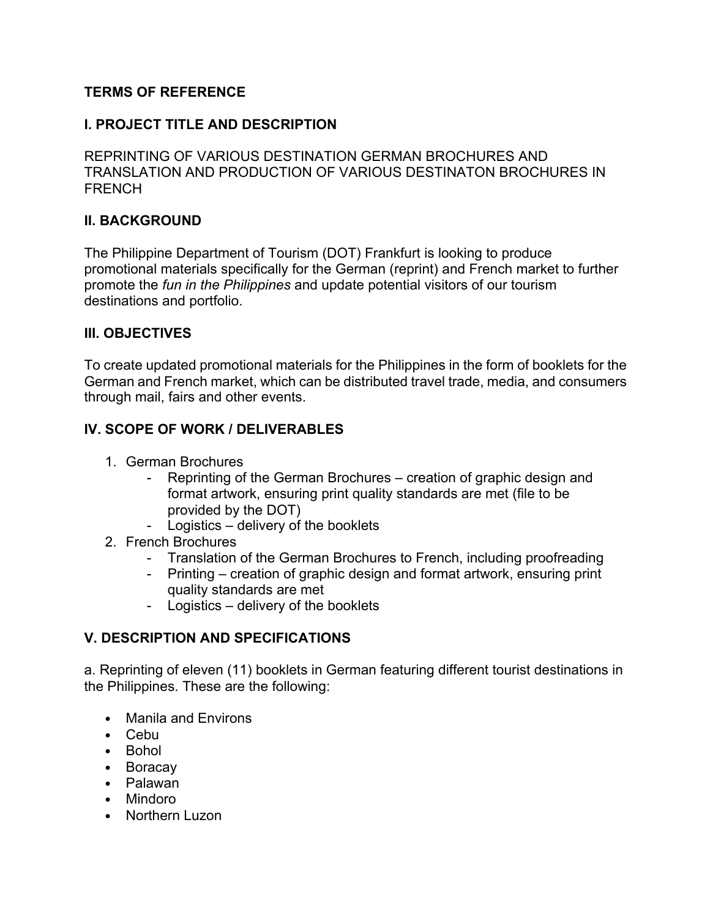### **TERMS OF REFERENCE**

#### **I. PROJECT TITLE AND DESCRIPTION**

REPRINTING OF VARIOUS DESTINATION GERMAN BROCHURES AND TRANSLATION AND PRODUCTION OF VARIOUS DESTINATON BROCHURES IN **FRENCH** 

### **II. BACKGROUND**

The Philippine Department of Tourism (DOT) Frankfurt is looking to produce promotional materials specifically for the German (reprint) and French market to further promote the *fun in the Philippines* and update potential visitors of our tourism destinations and portfolio.

#### **III. OBJECTIVES**

To create updated promotional materials for the Philippines in the form of booklets for the German and French market, which can be distributed travel trade, media, and consumers through mail, fairs and other events.

#### **IV. SCOPE OF WORK / DELIVERABLES**

- 1. German Brochures
	- Reprinting of the German Brochures creation of graphic design and format artwork, ensuring print quality standards are met (file to be provided by the DOT)
	- Logistics delivery of the booklets
- 2. French Brochures
	- Translation of the German Brochures to French, including proofreading
	- Printing creation of graphic design and format artwork, ensuring print quality standards are met
	- Logistics delivery of the booklets

#### **V. DESCRIPTION AND SPECIFICATIONS**

a. Reprinting of eleven (11) booklets in German featuring different tourist destinations in the Philippines. These are the following:

- Manila and Environs
- Cebu
- Bohol
- Boracay
- Palawan
- Mindoro
- Northern Luzon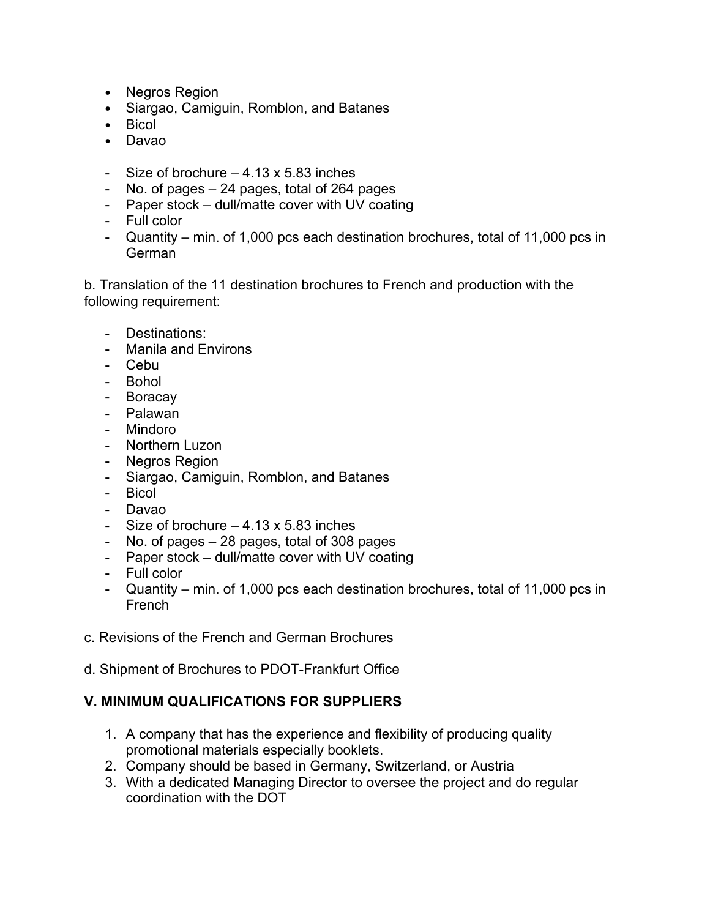- Negros Region
- Siargao, Camiguin, Romblon, and Batanes
- Bicol
- Davao
- Size of brochure  $-4.13 \times 5.83$  inches
- No. of pages 24 pages, total of 264 pages
- Paper stock dull/matte cover with UV coating
- Full color
- Quantity min. of 1,000 pcs each destination brochures, total of 11,000 pcs in German

b. Translation of the 11 destination brochures to French and production with the following requirement:

- Destinations:
- Manila and Environs
- Cebu
- Bohol
- Boracay
- Palawan
- Mindoro
- Northern Luzon
- Negros Region
- Siargao, Camiguin, Romblon, and Batanes
- Bicol
- Davao
- Size of brochure  $-4.13 \times 5.83$  inches
- No. of pages 28 pages, total of 308 pages
- Paper stock dull/matte cover with UV coating
- Full color
- Quantity min. of 1,000 pcs each destination brochures, total of 11,000 pcs in French
- c. Revisions of the French and German Brochures
- d. Shipment of Brochures to PDOT-Frankfurt Office

### **V. MINIMUM QUALIFICATIONS FOR SUPPLIERS**

- 1. A company that has the experience and flexibility of producing quality promotional materials especially booklets.
- 2. Company should be based in Germany, Switzerland, or Austria
- 3. With a dedicated Managing Director to oversee the project and do regular coordination with the DOT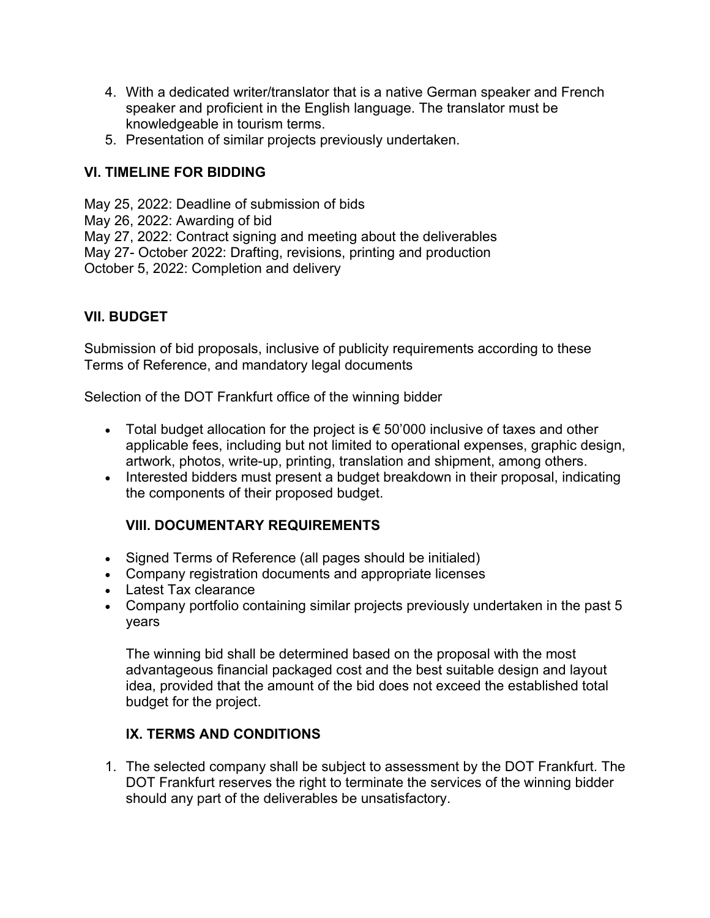- 4. With a dedicated writer/translator that is a native German speaker and French speaker and proficient in the English language. The translator must be knowledgeable in tourism terms.
- 5. Presentation of similar projects previously undertaken.

### **VI. TIMELINE FOR BIDDING**

May 25, 2022: Deadline of submission of bids May 26, 2022: Awarding of bid May 27, 2022: Contract signing and meeting about the deliverables May 27- October 2022: Drafting, revisions, printing and production October 5, 2022: Completion and delivery

## **VII. BUDGET**

Submission of bid proposals, inclusive of publicity requirements according to these Terms of Reference, and mandatory legal documents

Selection of the DOT Frankfurt office of the winning bidder

- Total budget allocation for the project is  $\epsilon$  50'000 inclusive of taxes and other applicable fees, including but not limited to operational expenses, graphic design, artwork, photos, write-up, printing, translation and shipment, among others.
- Interested bidders must present a budget breakdown in their proposal, indicating the components of their proposed budget.

# **VIII. DOCUMENTARY REQUIREMENTS**

- Signed Terms of Reference (all pages should be initialed)
- Company registration documents and appropriate licenses
- Latest Tax clearance
- Company portfolio containing similar projects previously undertaken in the past 5 years

The winning bid shall be determined based on the proposal with the most advantageous financial packaged cost and the best suitable design and layout idea, provided that the amount of the bid does not exceed the established total budget for the project.

### **IX. TERMS AND CONDITIONS**

1. The selected company shall be subject to assessment by the DOT Frankfurt. The DOT Frankfurt reserves the right to terminate the services of the winning bidder should any part of the deliverables be unsatisfactory.